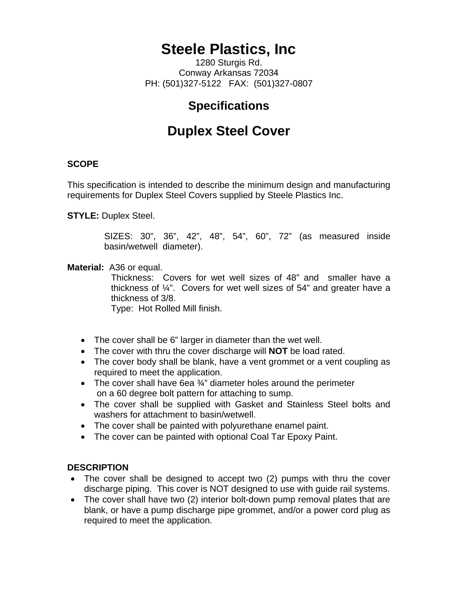# **Steele Plastics, Inc**

1280 Sturgis Rd. Conway Arkansas 72034 PH: (501)327-5122 FAX: (501)327-0807

### **Specifications**

## **Duplex Steel Cover**

#### **SCOPE**

This specification is intended to describe the minimum design and manufacturing requirements for Duplex Steel Covers supplied by Steele Plastics Inc.

**STYLE:** Duplex Steel.

SIZES: 30", 36", 42", 48", 54", 60", 72" (as measured inside basin/wetwell diameter).

#### **Material:** A36 or equal.

Thickness: Covers for wet well sizes of 48" and smaller have a thickness of  $\frac{1}{4}$ ". Covers for wet well sizes of 54" and greater have a thickness of 3/8.

Type: Hot Rolled Mill finish.

- The cover shall be 6" larger in diameter than the wet well.
- The cover with thru the cover discharge will **NOT** be load rated.
- The cover body shall be blank, have a vent grommet or a vent coupling as required to meet the application.
- The cover shall have 6ea ¾" diameter holes around the perimeter on a 60 degree bolt pattern for attaching to sump.
- The cover shall be supplied with Gasket and Stainless Steel bolts and washers for attachment to basin/wetwell.
- The cover shall be painted with polyurethane enamel paint.
- The cover can be painted with optional Coal Tar Epoxy Paint.

#### **DESCRIPTION**

- The cover shall be designed to accept two (2) pumps with thru the cover discharge piping. This cover is NOT designed to use with guide rail systems.
- The cover shall have two (2) interior bolt-down pump removal plates that are blank, or have a pump discharge pipe grommet, and/or a power cord plug as required to meet the application.